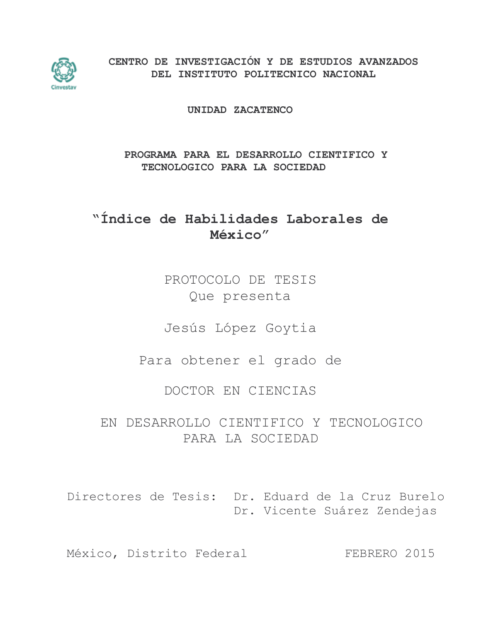

CENTRO DE INVESTIGACIÓN Y DE ESTUDIOS AVANZADOS DEL INSTITUTO POLITECNICO NACIONAL

UNIDAD ZACATENCO

# PROGRAMA PARA EL DESARROLLO CIENTIFICO Y TECNOLOGICO PARA LA SOCIEDAD

# "Índice de Habilidades Laborales de México"

PROTOCOLO DE TESIS Que presenta

Jesús López Goytia

Para obtener el grado de

DOCTOR EN CIENCIAS

EN DESARROLLO CIENTIFICO Y TECNOLOGICO PARA LA SOCIEDAD

Directores de Tesis: Dr. Eduard de la Cruz Burelo Dr. Vicente Suárez Zendejas

México, Distrito Federal FEBRERO 2015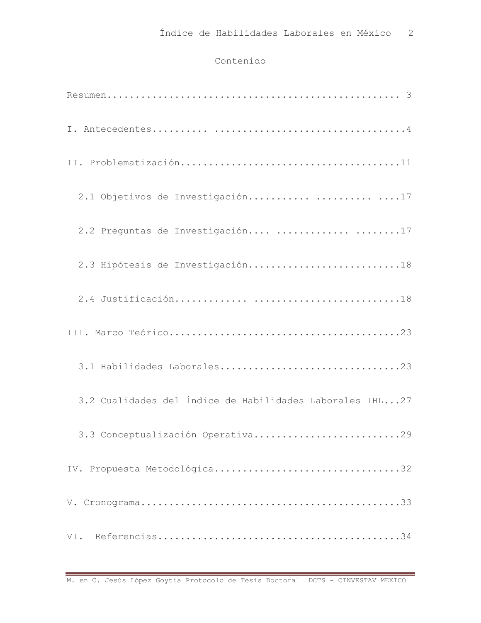## Contenido

| 2.1 Objetivos de Investigación  17                       |
|----------------------------------------------------------|
| 2.2 Preguntas de Investigación  17                       |
| 2.3 Hipótesis de Investigación18                         |
|                                                          |
|                                                          |
| 3.1 Habilidades Laborales23                              |
| 3.2 Cualidades del Índice de Habilidades Laborales IHL27 |
| 3.3 Conceptualización Operativa29                        |
| IV. Propuesta Metodológica32                             |
|                                                          |
|                                                          |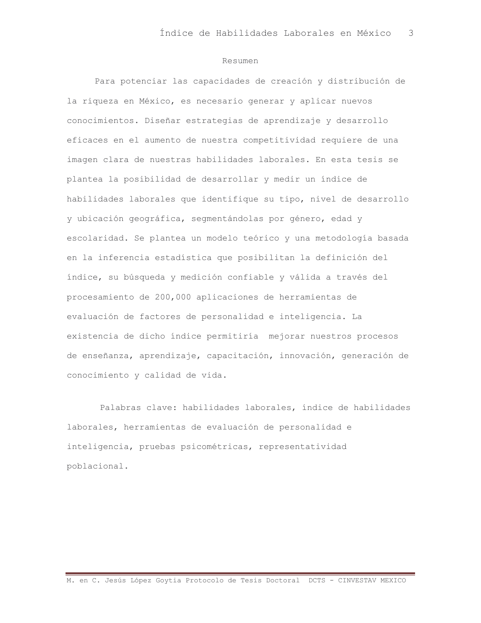#### Resumen

Para potenciar las capacidades de creación y distribución de la riqueza en México, es necesario generar y aplicar nuevos conocimientos. Diseñar estrategias de aprendizaje y desarrollo eficaces en el aumento de nuestra competitividad requiere de una imagen clara de nuestras habilidades laborales. En esta tesis se plantea la posibilidad de desarrollar y medir un índice de habilidades laborales que identifique su tipo, nivel de desarrollo y ubicación geográfica, segmentándolas por género, edad y escolaridad. Se plantea un modelo teórico y una metodología basada en la inferencia estadística que posibilitan la definición del índice, su búsqueda y medición confiable y válida a través del procesamiento de 200,000 aplicaciones de herramientas de evaluación de factores de personalidad e inteligencia. La existencia de dicho índice permitiría mejorar nuestros procesos de enseñanza, aprendizaje, capacitación, innovación, generación de conocimiento y calidad de vida.

Palabras clave: habilidades laborales, índice de habilidades laborales, herramientas de evaluación de personalidad e inteligencia, pruebas psicométricas, representatividad poblacional.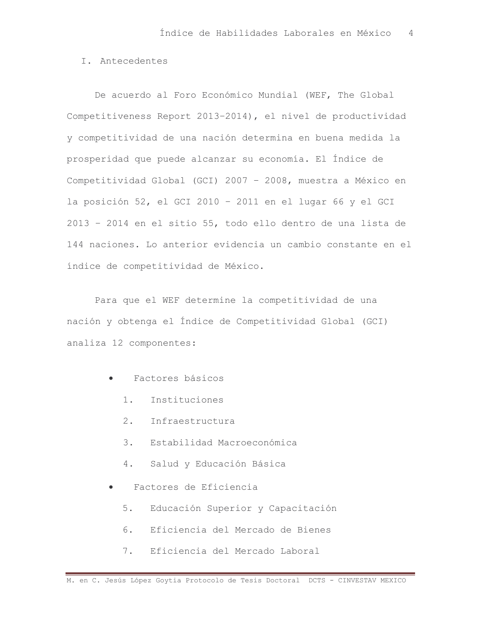## I. Antecedentes

De acuerdo al Foro Económico Mundial (WEF, The Global Competitiveness Report 2013-2014), el nivel de productividad y competitividad de una nación determina en buena medida la prosperidad que puede alcanzar su economía. El Índice de Competitividad Global (GCI) 2007 - 2008, muestra a México en la posición 52, el GCI 2010 - 2011 en el lugar 66 y el GCI 2013 - 2014 en el sitio 55, todo ello dentro de una lista de 144 naciones. Lo anterior evidencia un cambio constante en el índice de competitividad de México.

Para que el WEF determine la competitividad de una nación y obtenga el Índice de Competitividad Global (GCI) analiza 12 componentes:

- Factores básicos  $\bullet$ 
	- $1.$ Instituciones
	- 2. Infraestructura
	- Estabilidad Macroeconómica  $\overline{3}$ .
	- $4.$ Salud y Educación Básica
- Factores de Eficiencia  $\bullet$ 
	- Educación Superior y Capacitación  $5.$
	- Eficiencia del Mercado de Bienes 6.
	- $7.$ Eficiencia del Mercado Laboral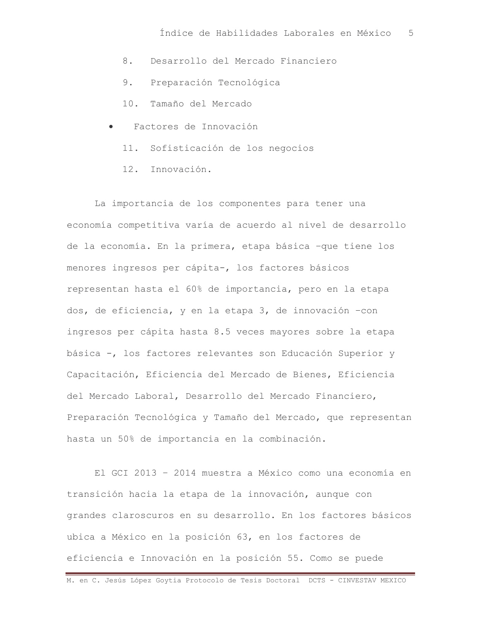- Desarrollo del Mercado Financiero 8.
- Preparación Tecnológica 9.
- 10. Tamaño del Mercado
- Factores de Innovación
	- 11. Sofisticación de los negocios
	- 12. Innovación.

La importancia de los componentes para tener una economía competitiva varía de acuerdo al nivel de desarrollo de la economía. En la primera, etapa básica -que tiene los menores ingresos per cápita-, los factores básicos representan hasta el 60% de importancia, pero en la etapa dos, de eficiencia, y en la etapa 3, de innovación -con ingresos per cápita hasta 8.5 veces mayores sobre la etapa básica -, los factores relevantes son Educación Superior y Capacitación, Eficiencia del Mercado de Bienes, Eficiencia del Mercado Laboral, Desarrollo del Mercado Financiero, Preparación Tecnológica y Tamaño del Mercado, que representan hasta un 50% de importancia en la combinación.

El GCI 2013 - 2014 muestra a México como una economía en transición hacia la etapa de la innovación, aunque con grandes claroscuros en su desarrollo. En los factores básicos ubica a México en la posición 63, en los factores de eficiencia e Innovación en la posición 55. Como se puede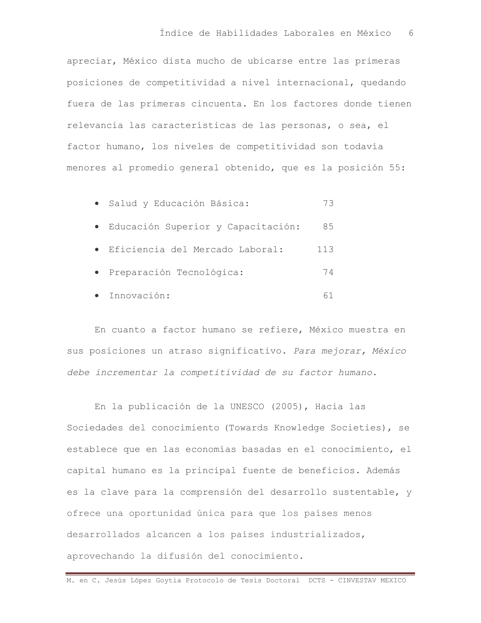apreciar, México dista mucho de ubicarse entre las primeras posiciones de competitividad a nivel internacional, quedando fuera de las primeras cincuenta. En los factores donde tienen relevancia las características de las personas, o sea, el factor humano, los niveles de competitividad son todavía menores al promedio general obtenido, que es la posición 55:

| · Salud y Educación Básica:          | 73  |
|--------------------------------------|-----|
| · Educación Superior y Capacitación: | 85  |
| · Eficiencia del Mercado Laboral:    | 113 |
| · Preparación Tecnológica:           | 74  |
| · Innovación:                        |     |

En cuanto a factor humano se refiere, México muestra en sus posiciones un atraso significativo. Para mejorar, México debe incrementar la competitividad de su factor humano.

En la publicación de la UNESCO (2005), Hacia las Sociedades del conocimiento (Towards Knowledge Societies), se establece que en las economías basadas en el conocimiento, el capital humano es la principal fuente de beneficios. Además es la clave para la comprensión del desarrollo sustentable, y ofrece una oportunidad única para que los países menos desarrollados alcancen a los países industrializados, aprovechando la difusión del conocimiento.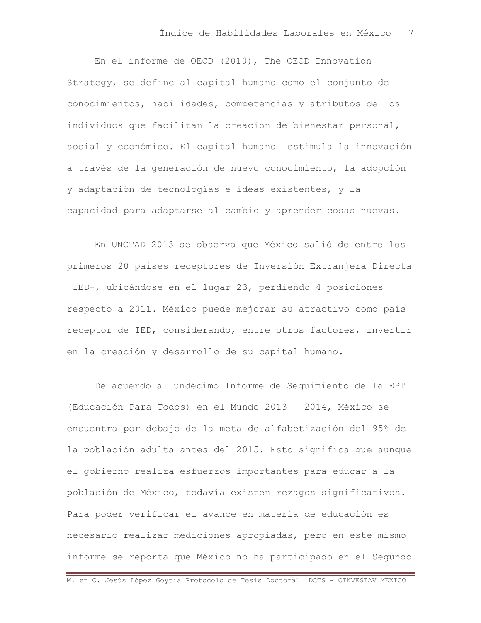En el informe de OECD (2010), The OECD Innovation Strategy, se define al capital humano como el conjunto de conocimientos, habilidades, competencias y atributos de los individuos que facilitan la creación de bienestar personal, social y económico. El capital humano estimula la innovación a través de la generación de nuevo conocimiento, la adopción y adaptación de tecnologías e ideas existentes, y la capacidad para adaptarse al cambio y aprender cosas nuevas.

En UNCTAD 2013 se observa que México salió de entre los primeros 20 países receptores de Inversión Extranjera Directa -IED-, ubicándose en el lugar 23, perdiendo 4 posiciones respecto a 2011. México puede mejorar su atractivo como país receptor de IED, considerando, entre otros factores, invertir en la creación y desarrollo de su capital humano.

De acuerdo al undécimo Informe de Sequimiento de la EPT (Educación Para Todos) en el Mundo 2013 - 2014, México se encuentra por debajo de la meta de alfabetización del 95% de la población adulta antes del 2015. Esto significa que aunque el gobierno realiza esfuerzos importantes para educar a la población de México, todavía existen rezagos significativos. Para poder verificar el avance en materia de educación es necesario realizar mediciones apropiadas, pero en éste mismo informe se reporta que México no ha participado en el Sequndo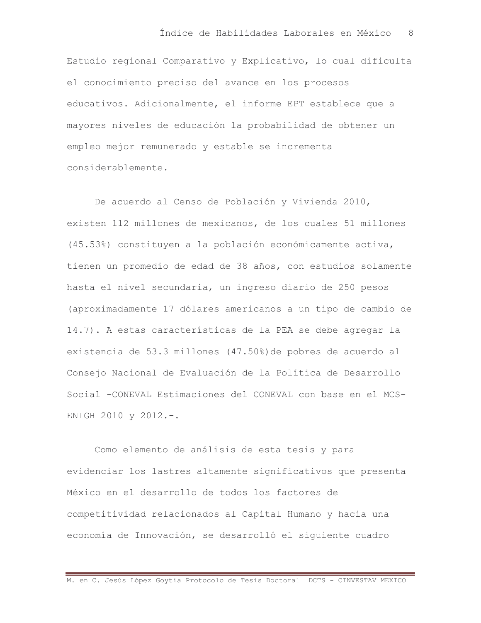Estudio regional Comparativo y Explicativo, lo cual dificulta el conocimiento preciso del avance en los procesos educativos. Adicionalmente, el informe EPT establece que a mayores niveles de educación la probabilidad de obtener un empleo mejor remunerado y estable se incrementa considerablemente.

De acuerdo al Censo de Población y Vivienda 2010, existen 112 millones de mexicanos, de los cuales 51 millones (45.53%) constituyen a la población económicamente activa, tienen un promedio de edad de 38 años, con estudios solamente hasta el nivel secundaria, un ingreso diario de 250 pesos (aproximadamente 17 dólares americanos a un tipo de cambio de 14.7). A estas características de la PEA se debe agregar la existencia de 53.3 millones (47.50%) de pobres de acuerdo al Consejo Nacional de Evaluación de la Política de Desarrollo Social -CONEVAL Estimaciones del CONEVAL con base en el MCS-ENIGH 2010 y 2012.-.

Como elemento de análisis de esta tesis y para evidenciar los lastres altamente significativos que presenta México en el desarrollo de todos los factores de competitividad relacionados al Capital Humano y hacia una economía de Innovación, se desarrolló el siguiente cuadro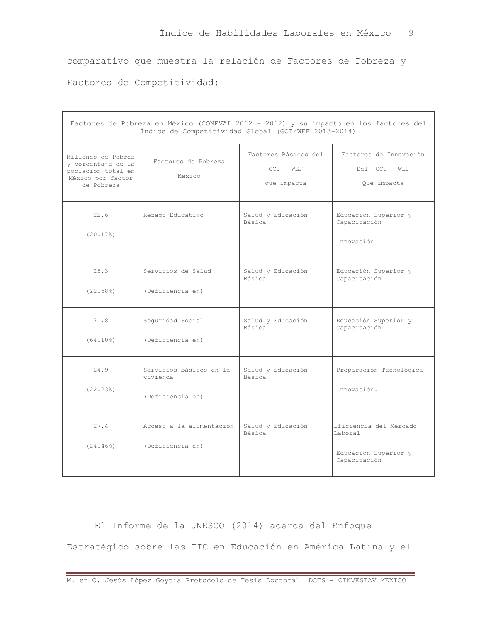comparativo que muestra la relación de Factores de Pobreza y

Factores de Competitividad:

| Factores de Pobreza en México (CONEVAL 2012 - 2012) y su impacto en los factores del<br>Índice de Competitividad Global (GCI/WEF 2013-2014) |                                                         |                                                    |                                                                           |  |  |  |  |  |  |  |  |
|---------------------------------------------------------------------------------------------------------------------------------------------|---------------------------------------------------------|----------------------------------------------------|---------------------------------------------------------------------------|--|--|--|--|--|--|--|--|
| Millones de Pobres<br>y porcentaje de la<br>población total en<br>México por factor<br>de Pobreza                                           | Factores de Pobreza<br>México                           | Factores Básicos del<br>$GCI - WEF$<br>que impacta | Factores de Innovación<br>Del GCI - WEF<br>Que impacta                    |  |  |  |  |  |  |  |  |
| 22.6<br>(20.17)                                                                                                                             | Rezago Educativo                                        | Salud y Educación<br>Básica                        | Educación Superior y<br>Capacitación<br>Innovación.                       |  |  |  |  |  |  |  |  |
| 25.3<br>(22.58)                                                                                                                             | Servicios de Salud<br>(Deficiencia en)                  | Salud y Educación<br>Básica                        | Educación Superior y<br>Capacitación                                      |  |  |  |  |  |  |  |  |
| 71.8<br>(64.10)                                                                                                                             | Sequridad Social<br>(Deficiencia en)                    | Salud y Educación<br>Básica                        | Educación Superior y<br>Capacitación                                      |  |  |  |  |  |  |  |  |
| 24.9<br>(22.23)                                                                                                                             | Servicios básicos en la<br>vivienda<br>(Deficiencia en) | Salud y Educación<br>Básica                        | Preparación Tecnológica<br>Innovación.                                    |  |  |  |  |  |  |  |  |
| 27.4<br>$(24.46\%)$                                                                                                                         | Acceso a la alimentación<br>(Deficiencia en)            | Salud y Educación<br>Básica                        | Eficiencia del Mercado<br>Laboral<br>Educación Superior y<br>Capacitación |  |  |  |  |  |  |  |  |

El Informe de la UNESCO (2014) acerca del Enfoque Estratégico sobre las TIC en Educación en América Latina y el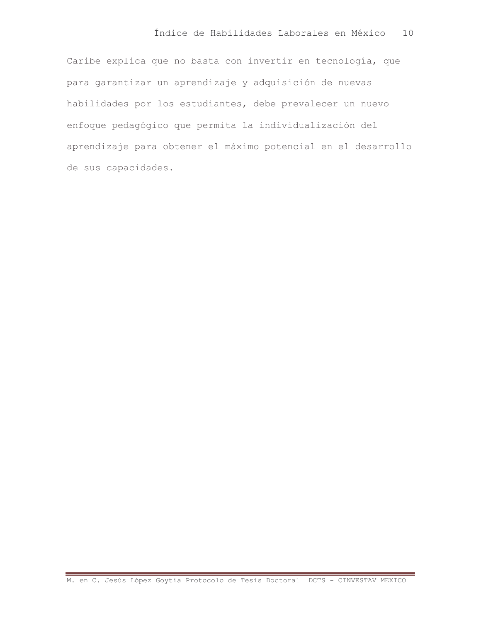Caribe explica que no basta con invertir en tecnología, que para garantizar un aprendizaje y adquisición de nuevas habilidades por los estudiantes, debe prevalecer un nuevo enfoque pedagógico que permita la individualización del aprendizaje para obtener el máximo potencial en el desarrollo de sus capacidades.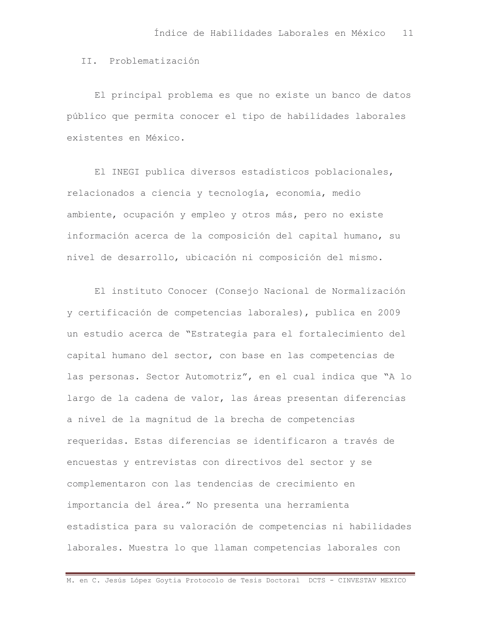II. Problematización

El principal problema es que no existe un banco de datos público que permita conocer el tipo de habilidades laborales existentes en México.

El INEGI publica diversos estadísticos poblacionales, relacionados a ciencia y tecnología, economía, medio ambiente, ocupación y empleo y otros más, pero no existe información acerca de la composición del capital humano, su nivel de desarrollo, ubicación ni composición del mismo.

El instituto Conocer (Consejo Nacional de Normalización y certificación de competencias laborales), publica en 2009 un estudio acerca de "Estrategia para el fortalecimiento del capital humano del sector, con base en las competencias de las personas. Sector Automotriz", en el cual indica que "A lo largo de la cadena de valor, las áreas presentan diferencias a nivel de la magnitud de la brecha de competencias requeridas. Estas diferencias se identificaron a través de encuestas y entrevistas con directivos del sector y se complementaron con las tendencias de crecimiento en importancia del área." No presenta una herramienta estadística para su valoración de competencias ni habilidades laborales. Muestra lo que llaman competencias laborales con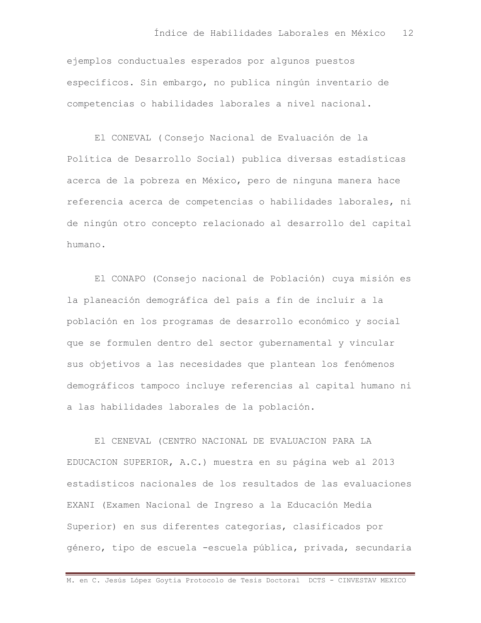ejemplos conductuales esperados por algunos puestos específicos. Sin embargo, no publica ningún inventario de competencias o habilidades laborales a nivel nacional.

El CONEVAL (Consejo Nacional de Evaluación de la Política de Desarrollo Social) publica diversas estadísticas acerca de la pobreza en México, pero de ninguna manera hace referencia acerca de competencias o habilidades laborales, ni de ningún otro concepto relacionado al desarrollo del capital  $h$ umano.

El CONAPO (Consejo nacional de Población) cuya misión es la planeación demográfica del país a fin de incluir a la población en los programas de desarrollo económico y social que se formulen dentro del sector qubernamental y vincular sus objetivos a las necesidades que plantean los fenómenos demográficos tampoco incluye referencias al capital humano ni a las habilidades laborales de la población.

El CENEVAL (CENTRO NACIONAL DE EVALUACION PARA LA EDUCACION SUPERIOR, A.C.) muestra en su página web al 2013 estadísticos nacionales de los resultados de las evaluaciones EXANI (Examen Nacional de Ingreso a la Educación Media Superior) en sus diferentes categorías, clasificados por género, tipo de escuela -escuela pública, privada, secundaria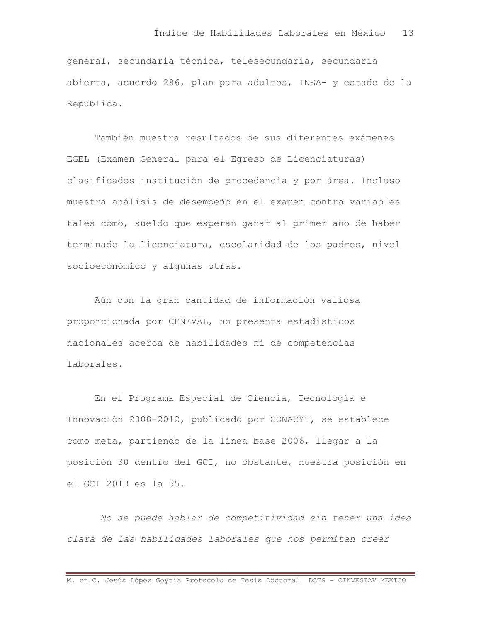general, secundaria técnica, telesecundaria, secundaria abierta, acuerdo 286, plan para adultos, INEA- y estado de la República.

También muestra resultados de sus diferentes exámenes EGEL (Examen General para el Egreso de Licenciaturas) clasificados institución de procedencia y por área. Incluso muestra análisis de desempeño en el examen contra variables tales como, sueldo que esperan ganar al primer año de haber terminado la licenciatura, escolaridad de los padres, nivel socioeconómico y algunas otras.

Aún con la gran cantidad de información valiosa proporcionada por CENEVAL, no presenta estadísticos nacionales acerca de habilidades ni de competencias laborales.

En el Programa Especial de Ciencia, Tecnología e Innovación 2008-2012, publicado por CONACYT, se establece como meta, partiendo de la línea base 2006, llegar a la posición 30 dentro del GCI, no obstante, nuestra posición en el GCI 2013 es la 55.

No se puede hablar de competitividad sin tener una idea clara de las habilidades laborales que nos permitan crear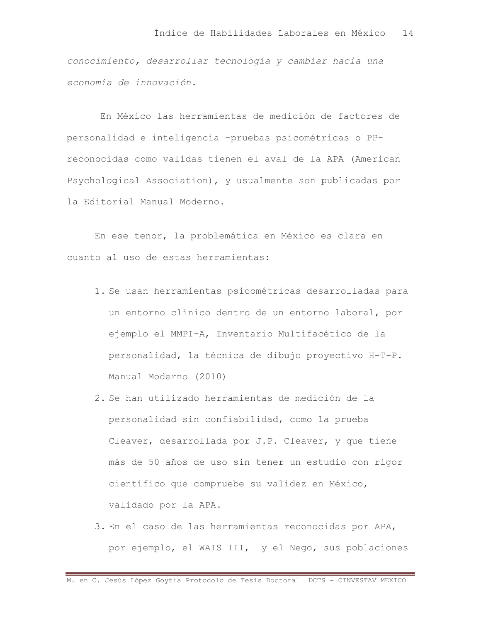conocimiento, desarrollar tecnología y cambiar hacia una economía de innovación.

En México las herramientas de medición de factores de personalidad e inteligencia -pruebas psicométricas o PPreconocidas como validas tienen el aval de la APA (American Psychological Association), y usualmente son publicadas por la Editorial Manual Moderno.

En ese tenor, la problemática en México es clara en cuanto al uso de estas herramientas:

- 1. Se usan herramientas psicométricas desarrolladas para un entorno clínico dentro de un entorno laboral, por ejemplo el MMPI-A, Inventario Multifacético de la personalidad, la técnica de dibujo proyectivo H-T-P. Manual Moderno (2010)
- 2. Se han utilizado herramientas de medición de la personalidad sin confiabilidad, como la prueba Cleaver, desarrollada por J.P. Cleaver, y que tiene más de 50 años de uso sin tener un estudio con rigor científico que compruebe su validez en México, validado por la APA.
- 3. En el caso de las herramientas reconocidas por APA, por ejemplo, el WAIS III, y el Nego, sus poblaciones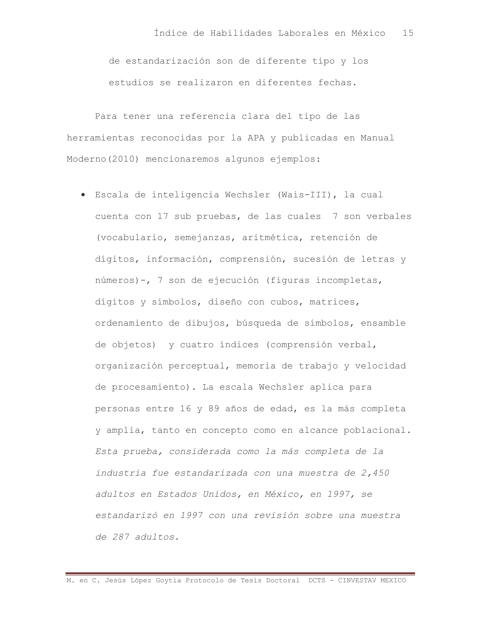de estandarización son de diferente tipo y los estudios se realizaron en diferentes fechas.

Para tener una referencia clara del tipo de las herramientas reconocidas por la APA y publicadas en Manual Moderno (2010) mencionaremos algunos ejemplos:

· Escala de inteligencia Wechsler (Wais-III), la cual cuenta con 17 sub pruebas, de las cuales 7 son verbales (vocabulario, semejanzas, aritmética, retención de dígitos, información, comprensión, sucesión de letras y números)-, 7 son de ejecución (figuras incompletas, dígitos y símbolos, diseño con cubos, matrices, ordenamiento de dibujos, búsqueda de símbolos, ensamble de objetos) y cuatro índices (comprensión verbal, organización perceptual, memoria de trabajo y velocidad de procesamiento). La escala Wechsler aplica para personas entre 16 y 89 años de edad, es la más completa y amplia, tanto en concepto como en alcance poblacional. Esta prueba, considerada como la más completa de la industria fue estandarizada con una muestra de 2,450 adultos en Estados Unidos, en México, en 1997, se estandarizó en 1997 con una revisión sobre una muestra de 287 adultos.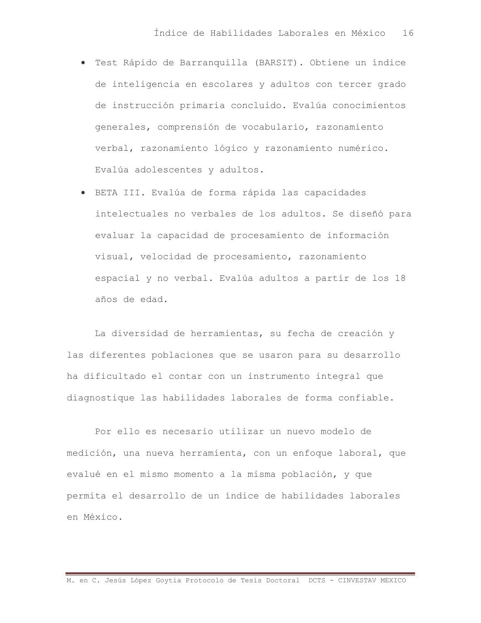- · Test Rápido de Barranquilla (BARSIT). Obtiene un índice de inteligencia en escolares y adultos con tercer grado de instrucción primaria concluido. Evalúa conocimientos generales, comprensión de vocabulario, razonamiento verbal, razonamiento lógico y razonamiento numérico. Evalúa adolescentes y adultos.
- · BETA III. Evalúa de forma rápida las capacidades intelectuales no verbales de los adultos. Se diseñó para evaluar la capacidad de procesamiento de información visual, velocidad de procesamiento, razonamiento espacial y no verbal. Evalúa adultos a partir de los 18 años de edad.

La diversidad de herramientas, su fecha de creación y las diferentes poblaciones que se usaron para su desarrollo ha dificultado el contar con un instrumento integral que diagnostique las habilidades laborales de forma confiable.

Por ello es necesario utilizar un nuevo modelo de medición, una nueva herramienta, con un enfoque laboral, que evalué en el mismo momento a la misma población, y que permita el desarrollo de un índice de habilidades laborales en México.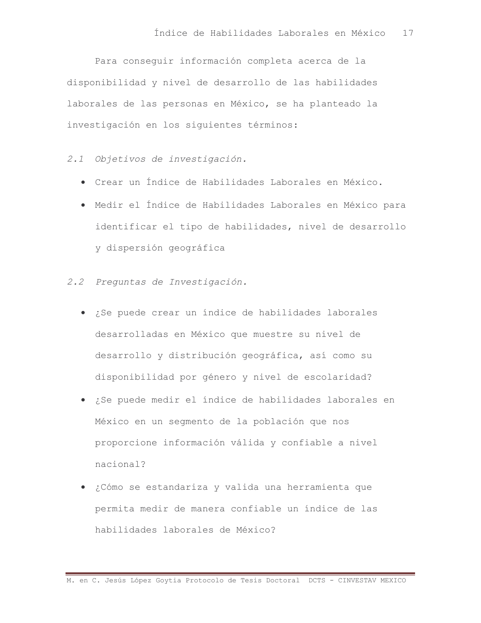Para conseguir información completa acerca de la disponibilidad y nivel de desarrollo de las habilidades laborales de las personas en México, se ha planteado la investigación en los siguientes términos:

2.1 Objetivos de investigación.

- · Crear un Índice de Habilidades Laborales en México.
- · Medir el Índice de Habilidades Laborales en México para identificar el tipo de habilidades, nivel de desarrollo y dispersión geográfica
- 2.2 Prequntas de Investigación.
	- · ¿Se puede crear un índice de habilidades laborales desarrolladas en México que muestre su nivel de desarrollo y distribución geográfica, así como su disponibilidad por género y nivel de escolaridad?
	- · ¿Se puede medir el índice de habilidades laborales en México en un segmento de la población que nos proporcione información válida y confiable a nivel nacional?
	- · ¿Cómo se estandariza y valida una herramienta que permita medir de manera confiable un índice de las habilidades laborales de México?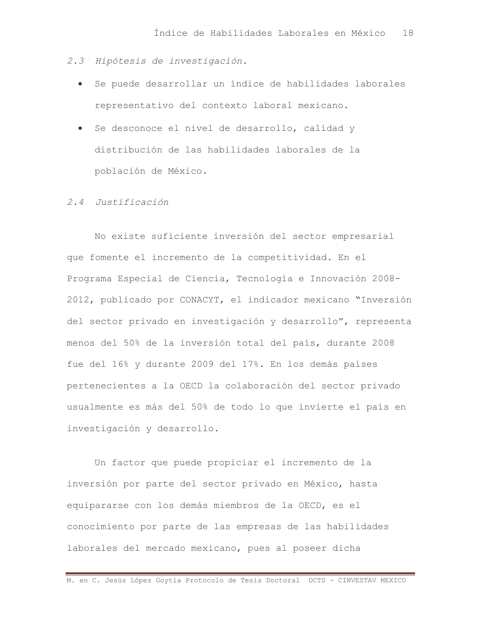- 2.3 Hipótesis de investigación.
	- · Se puede desarrollar un índice de habilidades laborales representativo del contexto laboral mexicano.
	- · Se desconoce el nivel de desarrollo, calidad y distribución de las habilidades laborales de la población de México.

### 2.4 Justificación

No existe suficiente inversión del sector empresarial que fomente el incremento de la competitividad. En el Programa Especial de Ciencia, Tecnología e Innovación 2008-2012, publicado por CONACYT, el indicador mexicano "Inversión del sector privado en investigación y desarrollo", representa menos del 50% de la inversión total del país, durante 2008 fue del 16% y durante 2009 del 17%. En los demás países pertenecientes a la OECD la colaboración del sector privado usualmente es más del 50% de todo lo que invierte el país en investigación y desarrollo.

Un factor que puede propiciar el incremento de la inversión por parte del sector privado en México, hasta equipararse con los demás miembros de la OECD, es el conocimiento por parte de las empresas de las habilidades laborales del mercado mexicano, pues al poseer dicha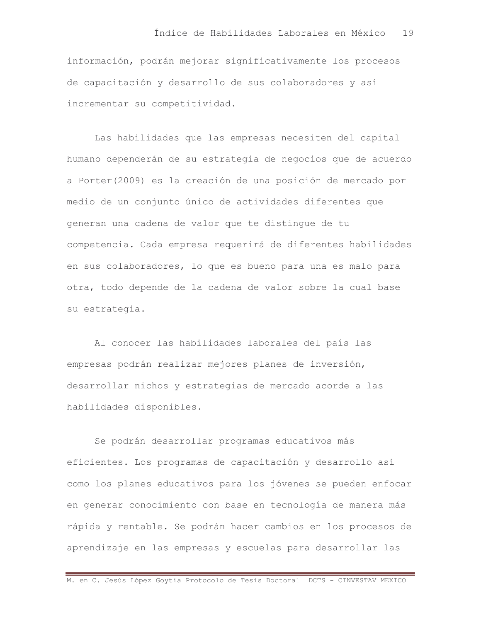información, podrán mejorar significativamente los procesos de capacitación y desarrollo de sus colaboradores y así incrementar su competitividad.

Las habilidades que las empresas necesiten del capital humano dependerán de su estrategia de negocios que de acuerdo a Porter (2009) es la creación de una posición de mercado por medio de un conjunto único de actividades diferentes que generan una cadena de valor que te distingue de tu competencia. Cada empresa requerirá de diferentes habilidades en sus colaboradores, lo que es bueno para una es malo para otra, todo depende de la cadena de valor sobre la cual base su estrategia.

Al conocer las habilidades laborales del país las empresas podrán realizar mejores planes de inversión, desarrollar nichos y estrategias de mercado acorde a las habilidades disponibles.

Se podrán desarrollar programas educativos más eficientes. Los programas de capacitación y desarrollo así como los planes educativos para los jóvenes se pueden enfocar en generar conocimiento con base en tecnología de manera más rápida y rentable. Se podrán hacer cambios en los procesos de aprendizaje en las empresas y escuelas para desarrollar las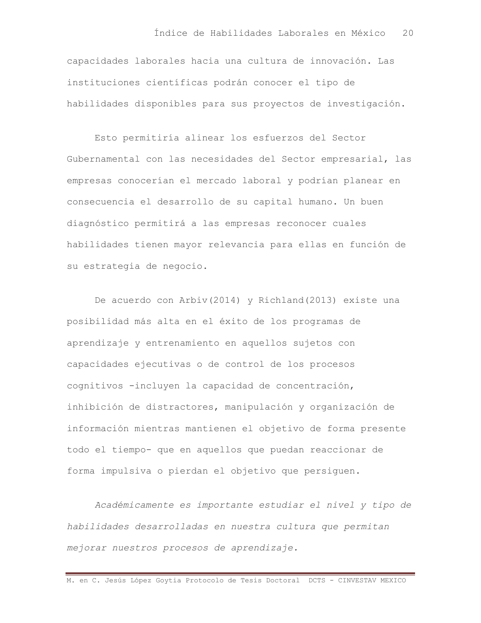capacidades laborales hacia una cultura de innovación. Las instituciones científicas podrán conocer el tipo de habilidades disponibles para sus proyectos de investigación.

Esto permitiría alinear los esfuerzos del Sector Gubernamental con las necesidades del Sector empresarial, las empresas conocerían el mercado laboral y podrían planear en consecuencia el desarrollo de su capital humano. Un buen diagnóstico permitirá a las empresas reconocer cuales habilidades tienen mayor relevancia para ellas en función de su estrategia de negocio.

De acuerdo con Arbiv(2014) y Richland(2013) existe una posibilidad más alta en el éxito de los programas de aprendizaje y entrenamiento en aquellos sujetos con capacidades ejecutivas o de control de los procesos cognitivos -incluyen la capacidad de concentración, inhibición de distractores, manipulación y organización de información mientras mantienen el objetivo de forma presente todo el tiempo- que en aquellos que puedan reaccionar de forma impulsiva o pierdan el objetivo que persiquen.

Académicamente es importante estudiar el nivel y tipo de habilidades desarrolladas en nuestra cultura que permitan mejorar nuestros procesos de aprendizaje.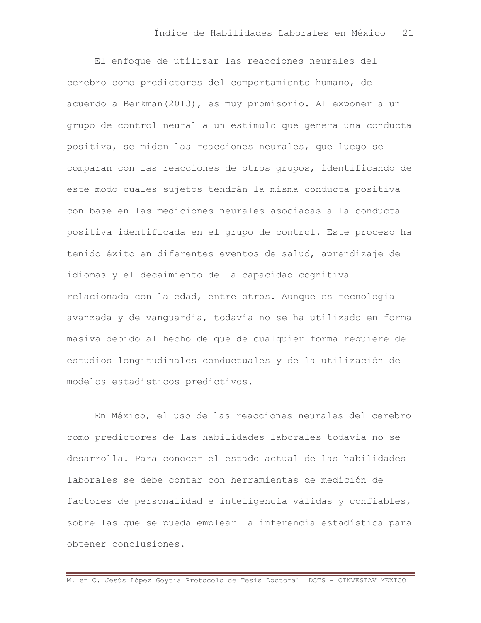El enfoque de utilizar las reacciones neurales del cerebro como predictores del comportamiento humano, de acuerdo a Berkman (2013), es muy promisorio. Al exponer a un grupo de control neural a un estímulo que genera una conducta positiva, se miden las reacciones neurales, que luego se comparan con las reacciones de otros grupos, identificando de este modo cuales sujetos tendrán la misma conducta positiva con base en las mediciones neurales asociadas a la conducta positiva identificada en el grupo de control. Este proceso ha tenido éxito en diferentes eventos de salud, aprendizaje de idiomas y el decaimiento de la capacidad cognitiva relacionada con la edad, entre otros. Aunque es tecnología avanzada y de vanguardia, todavía no se ha utilizado en forma masiva debido al hecho de que de cualquier forma requiere de estudios longitudinales conductuales y de la utilización de modelos estadísticos predictivos.

En México, el uso de las reacciones neurales del cerebro como predictores de las habilidades laborales todavía no se desarrolla. Para conocer el estado actual de las habilidades laborales se debe contar con herramientas de medición de factores de personalidad e inteligencia válidas y confiables, sobre las que se pueda emplear la inferencia estadística para obtener conclusiones.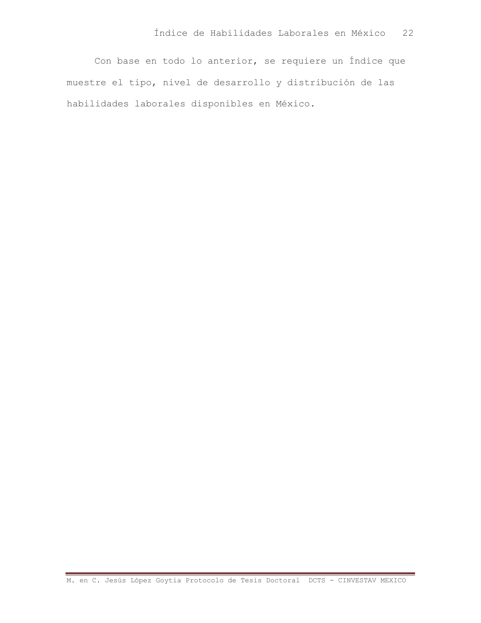Con base en todo lo anterior, se requiere un Índice que muestre el tipo, nivel de desarrollo y distribución de las habilidades laborales disponibles en México.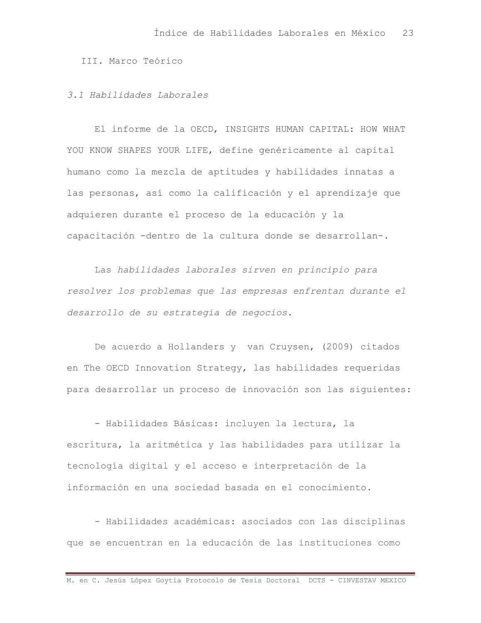III. Marco Teórico

### 3.1 Habilidades Laborales

El informe de la OECD, INSIGHTS HUMAN CAPITAL: HOW WHAT YOU KNOW SHAPES YOUR LIFE, define genéricamente al capital humano como la mezcla de aptitudes y habilidades innatas a las personas, así como la calificación y el aprendizaje que adquieren durante el proceso de la educación y la capacitación -dentro de la cultura donde se desarrollan-.

Las habilidades laborales sirven en principio para resolver los problemas que las empresas enfrentan durante el desarrollo de su estrategia de negocios.

De acuerdo a Hollanders y van Cruysen, (2009) citados en The OECD Innovation Strategy, las habilidades requeridas para desarrollar un proceso de innovación son las siguientes:

- Habilidades Básicas: incluyen la lectura, la escritura, la aritmética y las habilidades para utilizar la tecnología digital y el acceso e interpretación de la información en una sociedad basada en el conocimiento.

- Habilidades académicas: asociados con las disciplinas que se encuentran en la educación de las instituciones como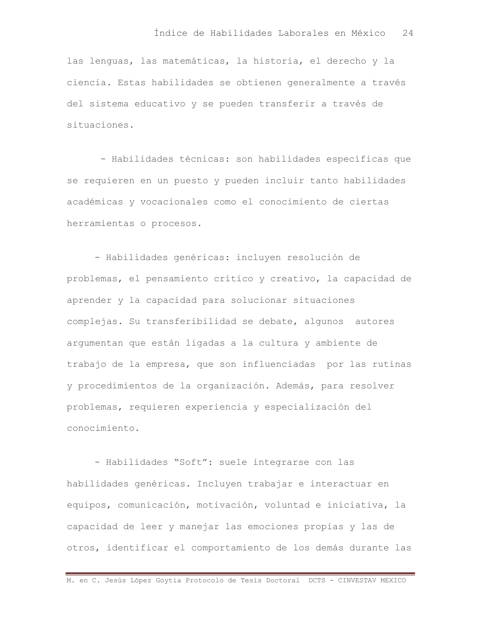las lenguas, las matemáticas, la historia, el derecho y la ciencia. Estas habilidades se obtienen generalmente a través del sistema educativo y se pueden transferir a través de situaciones.

- Habilidades técnicas: son habilidades específicas que se requieren en un puesto y pueden incluir tanto habilidades académicas y vocacionales como el conocimiento de ciertas herramientas o procesos.

- Habilidades genéricas: incluyen resolución de problemas, el pensamiento crítico y creativo, la capacidad de aprender y la capacidad para solucionar situaciones complejas. Su transferibilidad se debate, alqunos autores arqumentan que están ligadas a la cultura y ambiente de trabajo de la empresa, que son influenciadas por las rutinas y procedimientos de la organización. Además, para resolver problemas, requieren experiencia y especialización del conocimiento.

- Habilidades "Soft": suele integrarse con las habilidades genéricas. Incluyen trabajar e interactuar en equipos, comunicación, motivación, voluntad e iniciativa, la capacidad de leer y manejar las emociones propias y las de otros, identificar el comportamiento de los demás durante las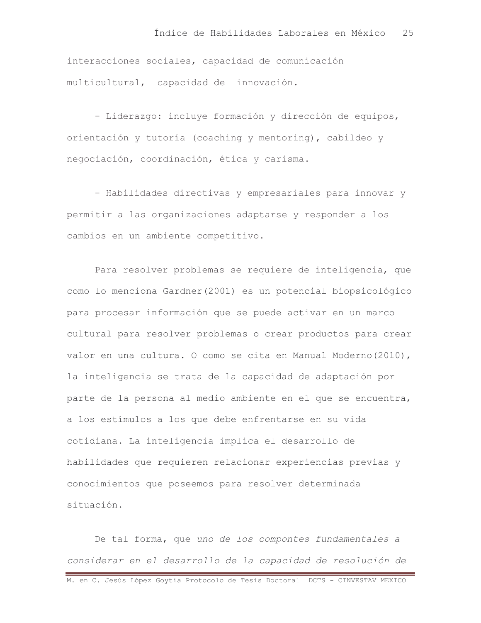interacciones sociales, capacidad de comunicación multicultural, capacidad de innovación.

- Liderazgo: incluye formación y dirección de equipos, orientación y tutoría (coaching y mentoring), cabildeo y negociación, coordinación, ética y carisma.

- Habilidades directivas y empresariales para innovar y permitir a las organizaciones adaptarse y responder a los cambios en un ambiente competitivo.

Para resolver problemas se requiere de inteligencia, que como lo menciona Gardner (2001) es un potencial biopsicológico para procesar información que se puede activar en un marco cultural para resolver problemas o crear productos para crear valor en una cultura. O como se cita en Manual Moderno (2010), la inteligencia se trata de la capacidad de adaptación por parte de la persona al medio ambiente en el que se encuentra, a los estímulos a los que debe enfrentarse en su vida cotidiana. La inteligencia implica el desarrollo de habilidades que requieren relacionar experiencias previas y conocimientos que poseemos para resolver determinada situación.

De tal forma, que uno de los compontes fundamentales a considerar en el desarrollo de la capacidad de resolución de M. en C. Jesús López Goytia Protocolo de Tesis Doctoral DCTS - CINVESTAV MEXICO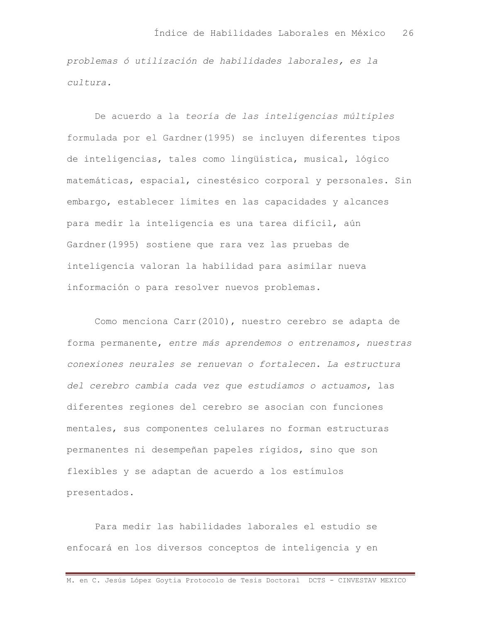problemas ó utilización de habilidades laborales, es la cultura.

De acuerdo a la teoría de las inteligencias múltiples formulada por el Gardner (1995) se incluyen diferentes tipos de inteligencias, tales como lingüística, musical, lógico matemáticas, espacial, cinestésico corporal y personales. Sin embargo, establecer límites en las capacidades y alcances para medir la inteligencia es una tarea difícil, aún Gardner (1995) sostiene que rara vez las pruebas de inteligencia valoran la habilidad para asimilar nueva información o para resolver nuevos problemas.

Como menciona Carr(2010), nuestro cerebro se adapta de forma permanente, entre más aprendemos o entrenamos, nuestras conexiones neurales se renuevan o fortalecen. La estructura del cerebro cambia cada vez que estudiamos o actuamos, las diferentes regiones del cerebro se asocian con funciones mentales, sus componentes celulares no forman estructuras permanentes ni desempeñan papeles rígidos, sino que son flexibles y se adaptan de acuerdo a los estímulos presentados.

Para medir las habilidades laborales el estudio se enfocará en los diversos conceptos de inteligencia y en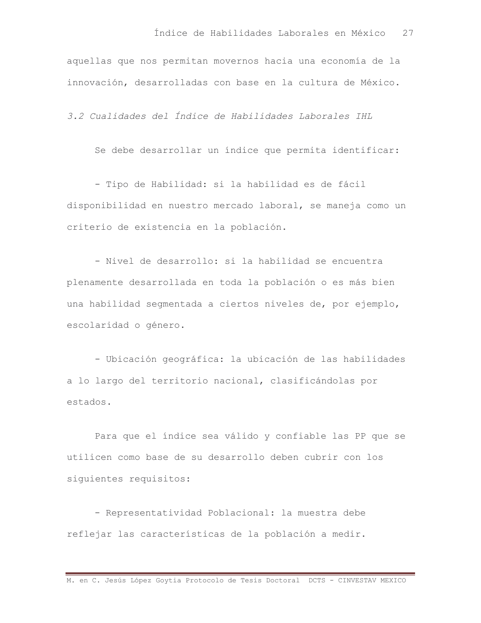aquellas que nos permitan movernos hacia una economía de la innovación, desarrolladas con base en la cultura de México.

3.2 Cualidades del Índice de Habilidades Laborales IHL

Se debe desarrollar un índice que permita identificar:

- Tipo de Habilidad: si la habilidad es de fácil disponibilidad en nuestro mercado laboral, se maneja como un criterio de existencia en la población.

- Nivel de desarrollo: si la habilidad se encuentra plenamente desarrollada en toda la población o es más bien una habilidad segmentada a ciertos niveles de, por ejemplo, escolaridad o género.

- Ubicación geográfica: la ubicación de las habilidades a lo largo del territorio nacional, clasificándolas por estados.

Para que el índice sea válido y confiable las PP que se utilicen como base de su desarrollo deben cubrir con los siquientes requisitos:

- Representatividad Poblacional: la muestra debe reflejar las características de la población a medir.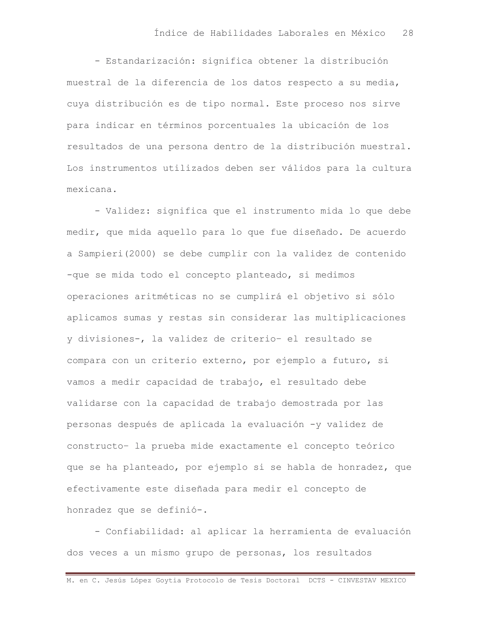- Estandarización: significa obtener la distribución muestral de la diferencia de los datos respecto a su media, cuya distribución es de tipo normal. Este proceso nos sirve para indicar en términos porcentuales la ubicación de los resultados de una persona dentro de la distribución muestral. Los instrumentos utilizados deben ser válidos para la cultura mexicana.

- Validez: significa que el instrumento mida lo que debe medir, que mida aquello para lo que fue diseñado. De acuerdo a Sampieri (2000) se debe cumplir con la validez de contenido -que se mida todo el concepto planteado, si medimos operaciones aritméticas no se cumplirá el objetivo si sólo aplicamos sumas y restas sin considerar las multiplicaciones v divisiones-, la validez de criterio- el resultado se compara con un criterio externo, por ejemplo a futuro, si vamos a medir capacidad de trabajo, el resultado debe validarse con la capacidad de trabajo demostrada por las personas después de aplicada la evaluación -y validez de constructo- la prueba mide exactamente el concepto teórico que se ha planteado, por ejemplo si se habla de honradez, que efectivamente este diseñada para medir el concepto de honradez que se definió-.

- Confiabilidad: al aplicar la herramienta de evaluación dos veces a un mismo grupo de personas, los resultados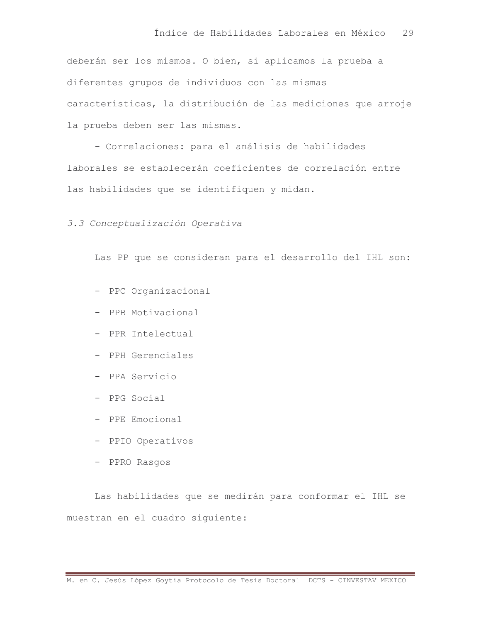deberán ser los mismos. O bien, si aplicamos la prueba a diferentes grupos de individuos con las mismas características, la distribución de las mediciones que arroje la prueba deben ser las mismas.

- Correlaciones: para el análisis de habilidades laborales se establecerán coeficientes de correlación entre las habilidades que se identifiquen y midan.

3.3 Conceptualización Operativa

Las PP que se consideran para el desarrollo del IHL son:

- PPC Organizacional
- PPB Motivacional
- PPR Intelectual
- PPH Gerenciales
- PPA Servicio
- PPG Social
- PPE Emocional
- PPIO Operativos
- PPRO Rasgos

Las habilidades que se medirán para conformar el IHL se muestran en el cuadro siguiente: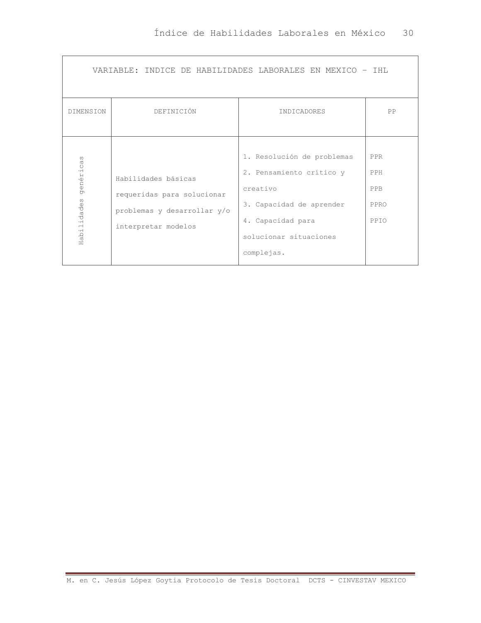| VARIABLE: INDICE DE HABILIDADES LABORALES EN MEXICO - IHL |                                                                                                         |                                                                                                                                                             |                                   |  |  |  |  |  |  |  |  |
|-----------------------------------------------------------|---------------------------------------------------------------------------------------------------------|-------------------------------------------------------------------------------------------------------------------------------------------------------------|-----------------------------------|--|--|--|--|--|--|--|--|
| <b>DIMENSION</b>                                          | DEFINICIÓN                                                                                              | <b>INDICADORES</b>                                                                                                                                          | PP                                |  |  |  |  |  |  |  |  |
| ω<br>genérica<br>Habilidades                              | Habilidades básicas<br>requeridas para solucionar<br>problemas y desarrollar y/o<br>interpretar modelos | 1. Resolución de problemas<br>2. Pensamiento crítico y<br>creativo<br>3. Capacidad de aprender<br>4. Capacidad para<br>solucionar situaciones<br>complejas. | PPR<br>PPH<br>PPB<br>PPRO<br>PPIO |  |  |  |  |  |  |  |  |

'n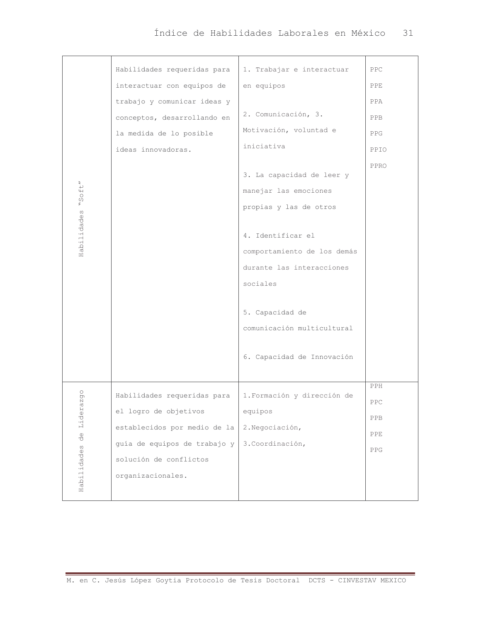| $"S$ oft"                                                             | Habilidades requeridas para<br>interactuar con equipos de<br>trabajo y comunicar ideas y<br>conceptos, desarrollando en<br>la medida de lo posible<br>ideas innovadoras. | 1. Trabajar e interactuar<br>en equipos<br>2. Comunicación, 3.<br>Motivación, voluntad e<br>iniciativa<br>3. La capacidad de leer y<br>manejar las emociones                                       | PPC<br><b>PPE</b><br>PPA<br><b>PPB</b><br><b>PPG</b><br>PPIO<br>PPRO |
|-----------------------------------------------------------------------|--------------------------------------------------------------------------------------------------------------------------------------------------------------------------|----------------------------------------------------------------------------------------------------------------------------------------------------------------------------------------------------|----------------------------------------------------------------------|
| Habilidades                                                           |                                                                                                                                                                          | propias y las de otros<br>4. Identificar el<br>comportamiento de los demás<br>durante las interacciones<br>sociales<br>5. Capacidad de<br>comunicación multicultural<br>6. Capacidad de Innovación |                                                                      |
| pdo<br><b>LQ</b><br>Lider<br>$\overset{\oplus}{\circ}$<br>Habilidades | Habilidades requeridas para<br>el logro de objetivos<br>establecidos por medio de la<br>guía de equipos de trabajo y<br>solución de conflictos<br>organizacionales.      | 1. Formación y dirección de<br>equipos<br>2. Negociación,<br>3. Coordinación,                                                                                                                      | PPH<br>PPC<br>PPB<br>PPE<br>PPG                                      |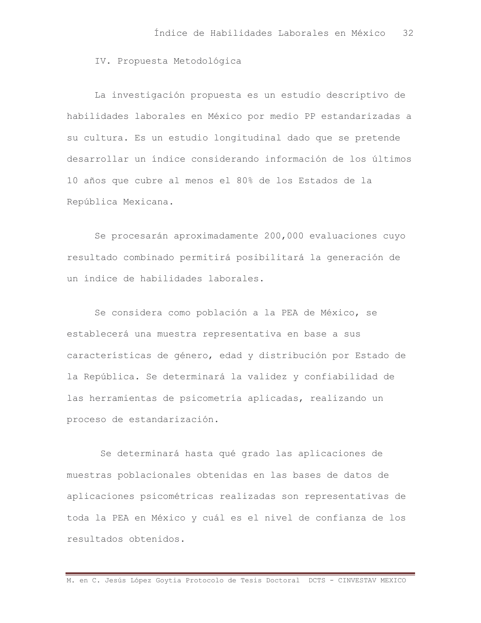IV. Propuesta Metodológica

La investigación propuesta es un estudio descriptivo de habilidades laborales en México por medio PP estandarizadas a su cultura. Es un estudio longitudinal dado que se pretende desarrollar un índice considerando información de los últimos 10 años que cubre al menos el 80% de los Estados de la República Mexicana.

Se procesarán aproximadamente 200,000 evaluaciones cuyo resultado combinado permitirá posibilitará la generación de un indice de habilidades laborales.

Se considera como población a la PEA de México, se establecerá una muestra representativa en base a sus características de género, edad y distribución por Estado de la República. Se determinará la validez y confiabilidad de las herramientas de psicometría aplicadas, realizando un proceso de estandarización.

Se determinará hasta qué grado las aplicaciones de muestras poblacionales obtenidas en las bases de datos de aplicaciones psicométricas realizadas son representativas de toda la PEA en México y cuál es el nivel de confianza de los resultados obtenidos.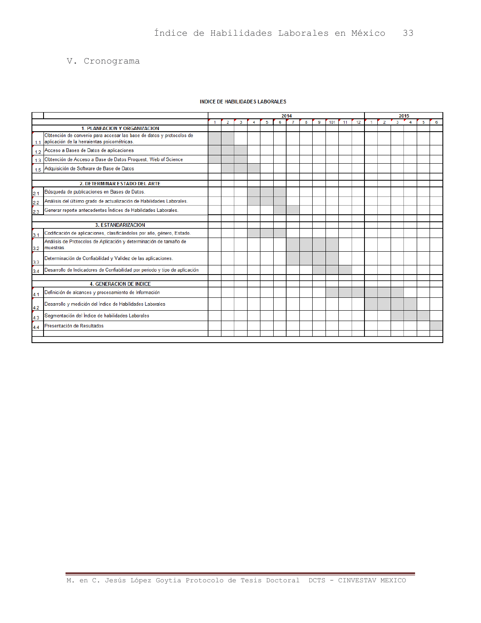## V. Cronograma

#### **INDICE DE HABILIDADES LABORALES**

|                                     |                                                                                                                     | 2014 |  |  |  |  |   |  |   |   |     |    | 2015 |  |   |   |  |   |   |
|-------------------------------------|---------------------------------------------------------------------------------------------------------------------|------|--|--|--|--|---|--|---|---|-----|----|------|--|---|---|--|---|---|
|                                     |                                                                                                                     |      |  |  |  |  | 6 |  | 8 | 9 | 101 | 11 | 12   |  | 2 | з |  | 5 | 6 |
| <b>1. PLANEACION Y ORGANIZACION</b> |                                                                                                                     |      |  |  |  |  |   |  |   |   |     |    |      |  |   |   |  |   |   |
| 1.1                                 | Obtención de convenio para accesar las base de datos y protocolos de<br>aplicación de la herraientas psicométricas. |      |  |  |  |  |   |  |   |   |     |    |      |  |   |   |  |   |   |
| 1.2                                 | Acceso a Bases de Datos de aplicaciones                                                                             |      |  |  |  |  |   |  |   |   |     |    |      |  |   |   |  |   |   |
| 1.3                                 | Obtención de Acceso a Base de Datos Proquest, Web of Science                                                        |      |  |  |  |  |   |  |   |   |     |    |      |  |   |   |  |   |   |
|                                     | 1.5 Adquisición de Software de Base de Datos                                                                        |      |  |  |  |  |   |  |   |   |     |    |      |  |   |   |  |   |   |
|                                     |                                                                                                                     |      |  |  |  |  |   |  |   |   |     |    |      |  |   |   |  |   |   |
|                                     | 2. DETERMINAR ESTADO DEL ARTE                                                                                       |      |  |  |  |  |   |  |   |   |     |    |      |  |   |   |  |   |   |
| 2.1                                 | Búsqueda de publicaciones en Bases de Datos.                                                                        |      |  |  |  |  |   |  |   |   |     |    |      |  |   |   |  |   |   |
| 2.2                                 | Análisis del últiimo grado de actualización de Habilidades Laborales.                                               |      |  |  |  |  |   |  |   |   |     |    |      |  |   |   |  |   |   |
| 2.3                                 | Generar reporte antecedentes Índices de Habilidades Laborales.                                                      |      |  |  |  |  |   |  |   |   |     |    |      |  |   |   |  |   |   |
|                                     |                                                                                                                     |      |  |  |  |  |   |  |   |   |     |    |      |  |   |   |  |   |   |
|                                     | <b>3. ESTANDARIZACION</b>                                                                                           |      |  |  |  |  |   |  |   |   |     |    |      |  |   |   |  |   |   |
| 3.1                                 | Codificación de aplicaciones, clasificándolos por año, género, Estado.                                              |      |  |  |  |  |   |  |   |   |     |    |      |  |   |   |  |   |   |
|                                     | Análisis de Protocolos de Aplicación y determinación de tamaño de                                                   |      |  |  |  |  |   |  |   |   |     |    |      |  |   |   |  |   |   |
| 3.2                                 | muestras.                                                                                                           |      |  |  |  |  |   |  |   |   |     |    |      |  |   |   |  |   |   |
| 3.3                                 | Determinación de Confiabilidad y Validez de las aplicaciones.                                                       |      |  |  |  |  |   |  |   |   |     |    |      |  |   |   |  |   |   |
| 3.4                                 | Desarrollo de Indicadores de Confiabilidad por periodo y tipo de aplicación                                         |      |  |  |  |  |   |  |   |   |     |    |      |  |   |   |  |   |   |
|                                     |                                                                                                                     |      |  |  |  |  |   |  |   |   |     |    |      |  |   |   |  |   |   |
| <b>4. GENERACION DE INDICE</b>      |                                                                                                                     |      |  |  |  |  |   |  |   |   |     |    |      |  |   |   |  |   |   |
| 4.1                                 | Definición de alcances y procesamiento de Información                                                               |      |  |  |  |  |   |  |   |   |     |    |      |  |   |   |  |   |   |
| 4.2                                 | Desarrollo y medición del Índice de Habilidades Laborales                                                           |      |  |  |  |  |   |  |   |   |     |    |      |  |   |   |  |   |   |
| 4.3                                 | Segmentación del Índice de habilidades Laborales                                                                    |      |  |  |  |  |   |  |   |   |     |    |      |  |   |   |  |   |   |
| 4.4                                 | Presentación de Resultados                                                                                          |      |  |  |  |  |   |  |   |   |     |    |      |  |   |   |  |   |   |
|                                     |                                                                                                                     |      |  |  |  |  |   |  |   |   |     |    |      |  |   |   |  |   |   |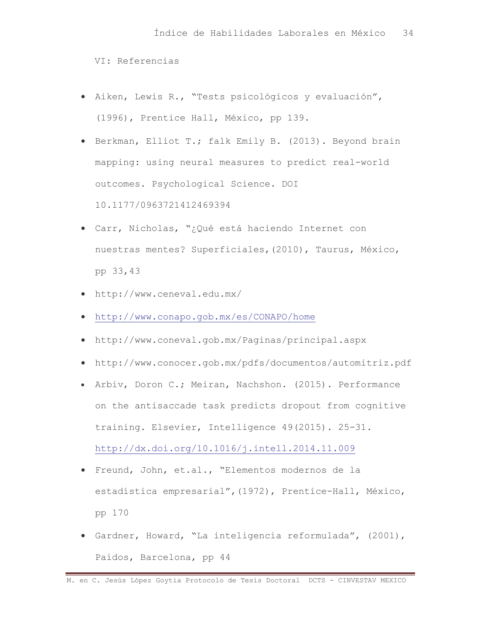VI: Referencias

- Aiken, Lewis R., "Tests psicológicos y evaluación",  $\bullet$ (1996), Prentice Hall, México, pp 139.
- Berkman, Elliot T.; falk Emily B. (2013). Beyond brain mapping: using neural measures to predict real-world outcomes. Psychological Science. DOI 10.1177/0963721412469394
- · Carr, Nicholas, "¿Qué está haciendo Internet con nuestras mentes? Superficiales, (2010), Taurus, México, pp 33,43
- http://www.ceneval.edu.mx/
- http://www.conapo.gob.mx/es/CONAPO/home
- http://www.coneval.gob.mx/Paginas/principal.aspx
- http://www.conocer.gob.mx/pdfs/documentos/automitriz.pdf
- Arbiv, Doron C.; Meiran, Nachshon. (2015). Performance on the antisaccade task predicts dropout from cognitive training. Elsevier, Intelligence 49(2015). 25-31. http://dx.doi.org/10.1016/j.intell.2014.11.009
- · Freund, John, et.al., "Elementos modernos de la estadística empresarial", (1972), Prentice-Hall, México, pp 170
- · Gardner, Howard, "La inteligencia reformulada", (2001), Paidos, Barcelona, pp 44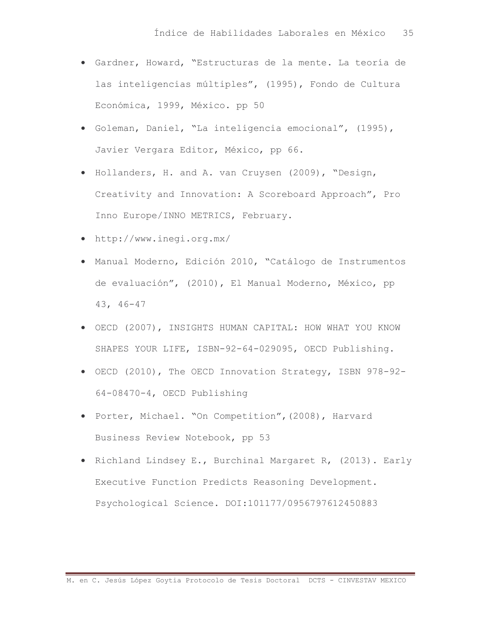- · Gardner, Howard, "Estructuras de la mente. La teoría de las inteligencias múltiples", (1995), Fondo de Cultura Económica, 1999, México. pp 50
- · Goleman, Daniel, "La inteligencia emocional", (1995), Javier Vergara Editor, México, pp 66.
- Hollanders, H. and A. van Cruysen (2009), "Design, Creativity and Innovation: A Scoreboard Approach", Pro Inno Europe/INNO METRICS, February.
- http://www.ineqi.org.mx/
- · Manual Moderno, Edición 2010, "Catálogo de Instrumentos de evaluación", (2010), El Manual Moderno, México, pp  $43, 46 - 47$
- OECD (2007), INSIGHTS HUMAN CAPITAL: HOW WHAT YOU KNOW SHAPES YOUR LIFE, ISBN-92-64-029095, OECD Publishing.
- OECD (2010), The OECD Innovation Strategy, ISBN 978-92-64-08470-4, OECD Publishing
- · Porter, Michael. "On Competition", (2008), Harvard Business Review Notebook, pp 53
- Richland Lindsey E., Burchinal Margaret R, (2013). Early Executive Function Predicts Reasoning Development. Psychological Science. DOI:101177/0956797612450883